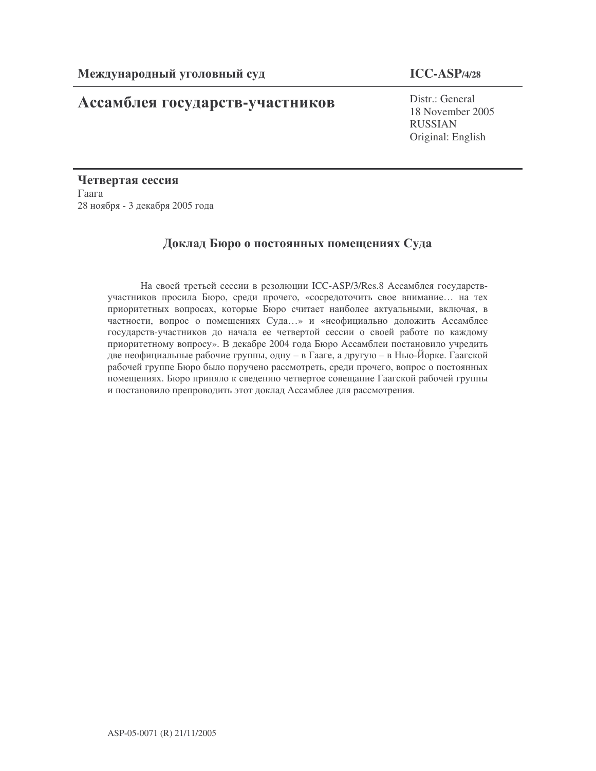# **Ассамблея государств-участников** Distr.: General

## **ICC-ASP/4/28**

18 November 2005 RUSSIAN Original: English

Четвертая сессия  $\Gamma$ aara 28 ноября - 3 декабря 2005 года

## Доклад Бюро о постоянных помещениях Суда

На своей третьей сессии в резолюции ICC-ASP/3/Res.8 Ассамблея государствучастников просила Бюро, среди прочего, «сосредоточить свое внимание... на тех приоритетных вопросах, которые Бюро считает наиболее актуальными, включая, в частности, вопрос о помещениях Суда...» и «неофициально доложить Ассамблее государств-участников до начала ее четвертой сессии о своей работе по каждому приоритетному вопросу». В декабре 2004 года Бюро Ассамблеи постановило учредить две неофициальные рабочие группы, одну – в Гааге, а другую – в Нью-Йорке. Гаагской рабочей группе Бюро было поручено рассмотреть, среди прочего, вопрос о постоянных помещениях. Бюро приняло к сведению четвертое совещание Гаагской рабочей группы и постановило препроводить этот доклад Ассамблее для рассмотрения.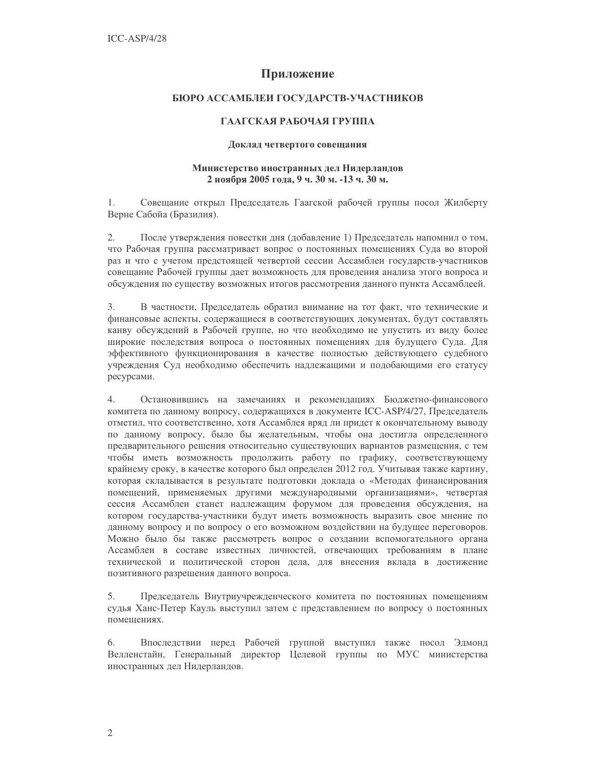### Приложение

#### БЮРО АССАМБЛЕИ ГОСУЛАРСТВ-УЧАСТНИКОВ

#### ГААГСКАЯ РАБОЧАЯ ГРУППА

#### Доклад четвертого совещания

#### Министерство иностранных дел Нидерландов 2 ноября 2005 года, 9 ч. 30 м. -13 ч. 30 м.

Совещание открыл Председатель Гаагской рабочей группы посол Жилберту 1. Верне Сабойа (Бразилия).

2. После утверждения повестки дня (добавление 1) Председатель напомнил о том, что Рабочая группа рассматривает вопрос о постоянных помещениях Суда во второй раз и что с учетом предстоящей четвертой сессии Ассамблеи государств-участников совещание Рабочей группы дает возможность для проведения анализа этого вопроса и обсуждения по существу возможных итогов рассмотрения данного пункта Ассамблеей.

В частности, Председатель обратил внимание на тот факт, что технические и 3. финансовые аспекты, содержащиеся в соответствующих документах, будут составлять канву обсуждений в Рабочей группе, но что необходимо не упустить из виду более широкие последствия вопроса о постоянных помещениях для будущего Суда. Для эффективного функционирования в качестве полностью действующего судебного учреждения Суд необходимо обеспечить надлежащими и подобающими его статусу ресурсами.

4. Остановившись на замечаниях и рекомендациях Бюджетно-финансового комитета по данному вопросу, содержащихся в документе ICC-ASP/4/27, Председатель отметил, что соответственно, хотя Ассамблея вряд ли придет к окончательному выводу по данному вопросу, было бы желательным, чтобы она достигла определенного предварительного решения относительно существующих вариантов размещения, с тем чтобы иметь возможность продолжить работу по графику, соответствующему крайнему сроку, в качестве которого был определен 2012 год. Учитывая также картину, которая складывается в результате подготовки доклада о «Методах финансирования помещений, применяемых другими международными организациями», четвертая сессия Ассамблеи станет надлежащим форумом для проведения обсуждения, на котором государства-участники будут иметь возможность выразить свое мнение по данному вопросу и по вопросу о его возможном воздействии на будущее переговоров. Можно было бы также рассмотреть вопрос о создании вспомогательного органа Ассамблеи в составе известных личностей, отвечающих требованиям в плане технической и политической сторон дела, для внесения вклада в достижение позитивного разрешения данного вопроса.

5. Председатель Внутриучрежденческого комитета по постоянных помещениям судья Ханс-Петер Кауль выступил затем с представлением по вопросу о постоянных помешениях.

6. Впоследствии перед Рабочей группой выступил также посол Эдмонд Велленстайн, Генеральный директор Целевой группы по МУС министерства иностранных дел Нидерландов.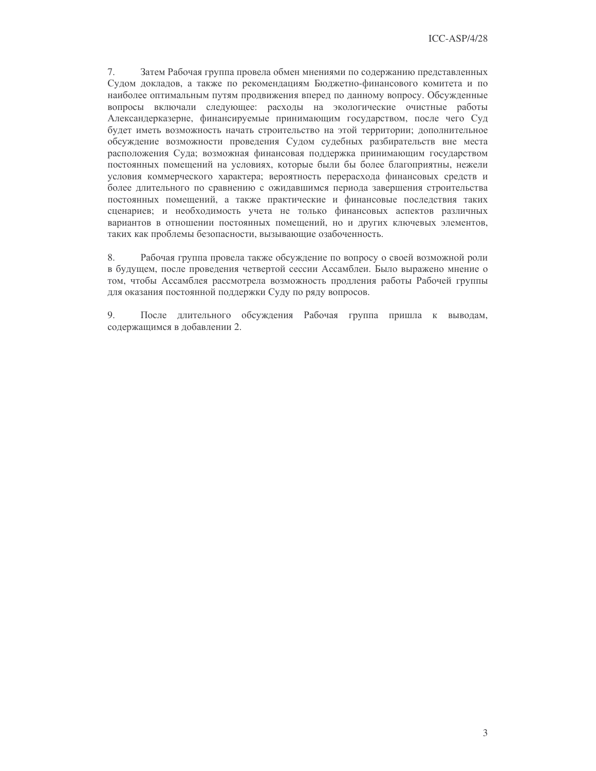7. Затем Рабочая группа провела обмен мнениями по содержанию представленных Судом докладов, а также по рекомендациям Бюджетно-финансового комитета и по наиболее оптимальным путям продвижения вперед по данному вопросу. Обсужденные вопросы включали следующее: расходы на экологические очистные работы Александерказерне, финансируемые принимающим государством, после чего Суд будет иметь возможность начать строительство на этой территории; дополнительное обсуждение возможности проведения Судом судебных разбирательств вне места расположения Суда; возможная финансовая поддержка принимающим государством постоянных помещений на условиях, которые были бы более благоприятны, нежели условия коммерческого характера; вероятность перерасхода финансовых средств и более длительного по сравнению с ожидавшимся периода завершения строительства постоянных помещений, а также практические и финансовые последствия таких сценариев; и необходимость учета не только финансовых аспектов различных вариантов в отношении постоянных помещений, но и других ключевых элементов, таких как проблемы безопасности, вызывающие озабоченность.

8. Рабочая группа провела также обсуждение по вопросу о своей возможной роли в будущем, после проведения четвертой сессии Ассамблеи. Было выражено мнение о том, чтобы Ассамблея рассмотрела возможность продления работы Рабочей группы для оказания постоянной поддержки Суду по ряду вопросов.

9. После длительного обсуждения Рабочая группа пришла к выводам, содержащимся в добавлении 2.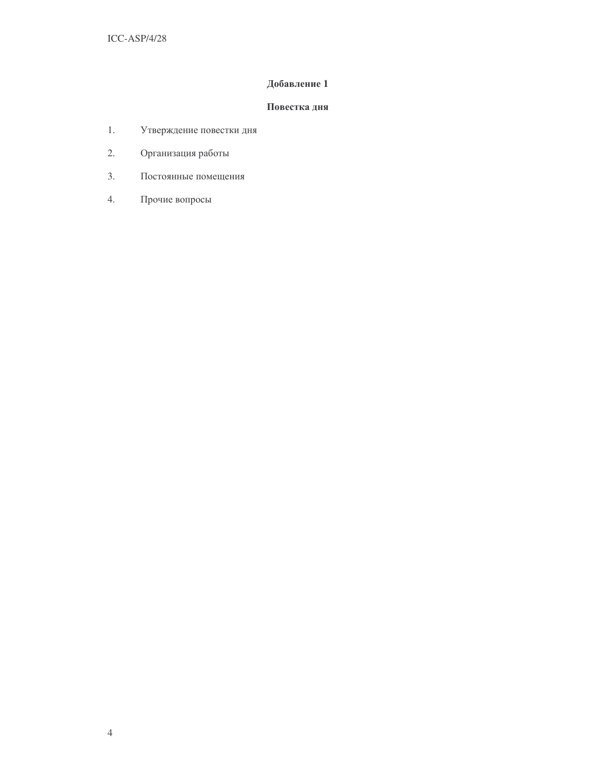### Добавление 1

#### Повестка дня

- $1.$ Утверждение повестки дня
- 2. Организация работы
- $3.$ Постоянные помещения
- Прочие вопросы  $4.$